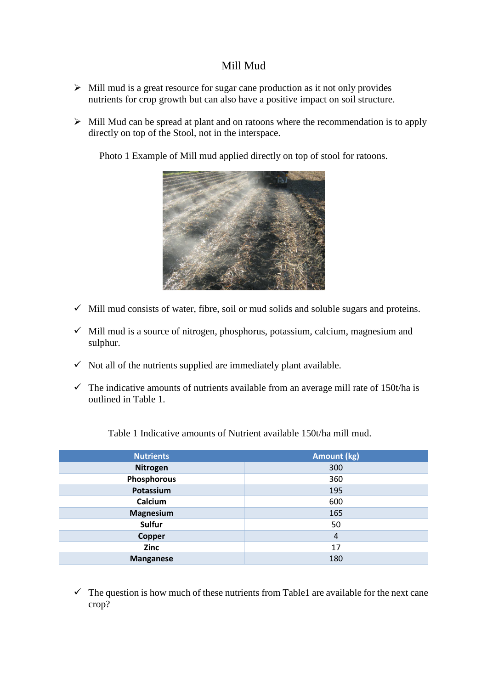## Mill Mud

- $\triangleright$  Mill mud is a great resource for sugar cane production as it not only provides nutrients for crop growth but can also have a positive impact on soil structure.
- $\triangleright$  Mill Mud can be spread at plant and on ratoons where the recommendation is to apply directly on top of the Stool, not in the interspace.

Photo 1 Example of Mill mud applied directly on top of stool for ratoons.



- $\checkmark$  Mill mud consists of water, fibre, soil or mud solids and soluble sugars and proteins.
- Mill mud is a source of nitrogen, phosphorus, potassium, calcium, magnesium and sulphur.
- $\checkmark$  Not all of the nutrients supplied are immediately plant available.
- $\checkmark$  The indicative amounts of nutrients available from an average mill rate of 150t/ha is outlined in Table 1.

Table 1 Indicative amounts of Nutrient available 150t/ha mill mud.

| <b>Nutrients</b> | <b>Amount (kg)</b> |
|------------------|--------------------|
| <b>Nitrogen</b>  | 300                |
| Phosphorous      | 360                |
| Potassium        | 195                |
| Calcium          | 600                |
| Magnesium        | 165                |
| Sulfur           | 50                 |
| <b>Copper</b>    | $\overline{4}$     |
| Zinc             | 17                 |
| <b>Manganese</b> | 180                |

 $\checkmark$  The question is how much of these nutrients from Table1 are available for the next cane crop?